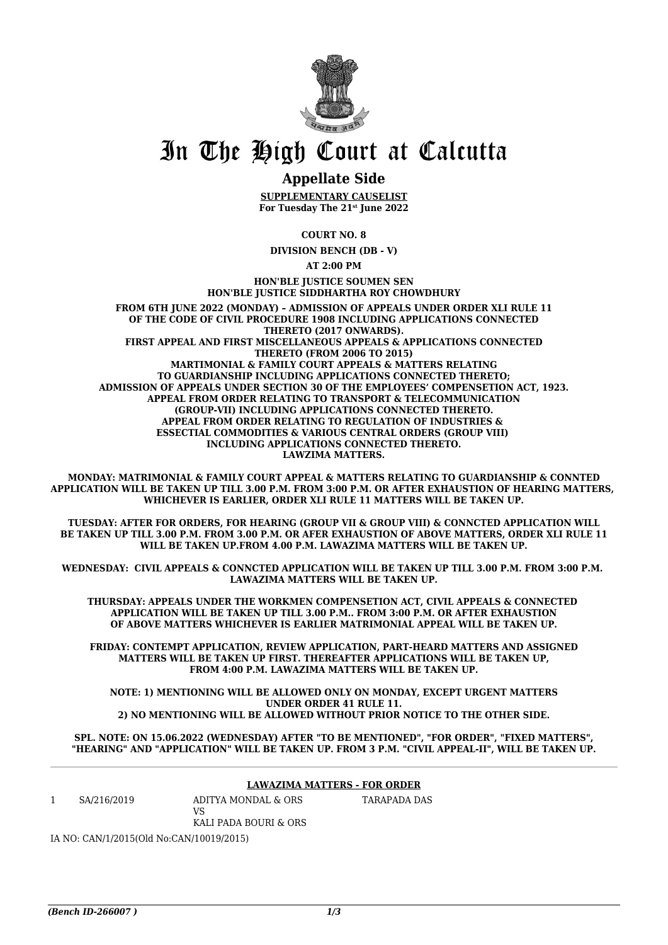

## In The High Court at Calcutta

## **Appellate Side**

**SUPPLEMENTARY CAUSELIST For Tuesday The 21st June 2022**

**COURT NO. 8**

**DIVISION BENCH (DB - V)**

**AT 2:00 PM**

**HON'BLE JUSTICE SOUMEN SEN HON'BLE JUSTICE SIDDHARTHA ROY CHOWDHURY**

**FROM 6TH JUNE 2022 (MONDAY) – ADMISSION OF APPEALS UNDER ORDER XLI RULE 11 OF THE CODE OF CIVIL PROCEDURE 1908 INCLUDING APPLICATIONS CONNECTED THERETO (2017 ONWARDS). FIRST APPEAL AND FIRST MISCELLANEOUS APPEALS & APPLICATIONS CONNECTED THERETO (FROM 2006 TO 2015) MARTIMONIAL & FAMILY COURT APPEALS & MATTERS RELATING TO GUARDIANSHIP INCLUDING APPLICATIONS CONNECTED THERETO; ADMISSION OF APPEALS UNDER SECTION 30 OF THE EMPLOYEES' COMPENSETION ACT, 1923. APPEAL FROM ORDER RELATING TO TRANSPORT & TELECOMMUNICATION (GROUP-VII) INCLUDING APPLICATIONS CONNECTED THERETO. APPEAL FROM ORDER RELATING TO REGULATION OF INDUSTRIES & ESSECTIAL COMMODITIES & VARIOUS CENTRAL ORDERS (GROUP VIII) INCLUDING APPLICATIONS CONNECTED THERETO. LAWZIMA MATTERS.**

**MONDAY: MATRIMONIAL & FAMILY COURT APPEAL & MATTERS RELATING TO GUARDIANSHIP & CONNTED APPLICATION WILL BE TAKEN UP TILL 3.00 P.M. FROM 3:00 P.M. OR AFTER EXHAUSTION OF HEARING MATTERS, WHICHEVER IS EARLIER, ORDER XLI RULE 11 MATTERS WILL BE TAKEN UP.**

**TUESDAY: AFTER FOR ORDERS, FOR HEARING (GROUP VII & GROUP VIII) & CONNCTED APPLICATION WILL BE TAKEN UP TILL 3.00 P.M. FROM 3.00 P.M. OR AFER EXHAUSTION OF ABOVE MATTERS, ORDER XLI RULE 11 WILL BE TAKEN UP.FROM 4.00 P.M. LAWAZIMA MATTERS WILL BE TAKEN UP.**

**WEDNESDAY: CIVIL APPEALS & CONNCTED APPLICATION WILL BE TAKEN UP TILL 3.00 P.M. FROM 3:00 P.M. LAWAZIMA MATTERS WILL BE TAKEN UP.**

**THURSDAY: APPEALS UNDER THE WORKMEN COMPENSETION ACT, CIVIL APPEALS & CONNECTED APPLICATION WILL BE TAKEN UP TILL 3.00 P.M.. FROM 3:00 P.M. OR AFTER EXHAUSTION OF ABOVE MATTERS WHICHEVER IS EARLIER MATRIMONIAL APPEAL WILL BE TAKEN UP.**

**FRIDAY: CONTEMPT APPLICATION, REVIEW APPLICATION, PART-HEARD MATTERS AND ASSIGNED MATTERS WILL BE TAKEN UP FIRST. THEREAFTER APPLICATIONS WILL BE TAKEN UP, FROM 4:00 P.M. LAWAZIMA MATTERS WILL BE TAKEN UP.**

**NOTE: 1) MENTIONING WILL BE ALLOWED ONLY ON MONDAY, EXCEPT URGENT MATTERS UNDER ORDER 41 RULE 11. 2) NO MENTIONING WILL BE ALLOWED WITHOUT PRIOR NOTICE TO THE OTHER SIDE.**

**SPL. NOTE: ON 15.06.2022 (WEDNESDAY) AFTER "TO BE MENTIONED", "FOR ORDER", "FIXED MATTERS", "HEARING" AND "APPLICATION" WILL BE TAKEN UP. FROM 3 P.M. "CIVIL APPEAL-II", WILL BE TAKEN UP.**

## **LAWAZIMA MATTERS - FOR ORDER**

1 SA/216/2019 ADITYA MONDAL & ORS

KALI PADA BOURI & ORS

TARAPADA DAS

IA NO: CAN/1/2015(Old No:CAN/10019/2015)

 $V<sub>S</sub>$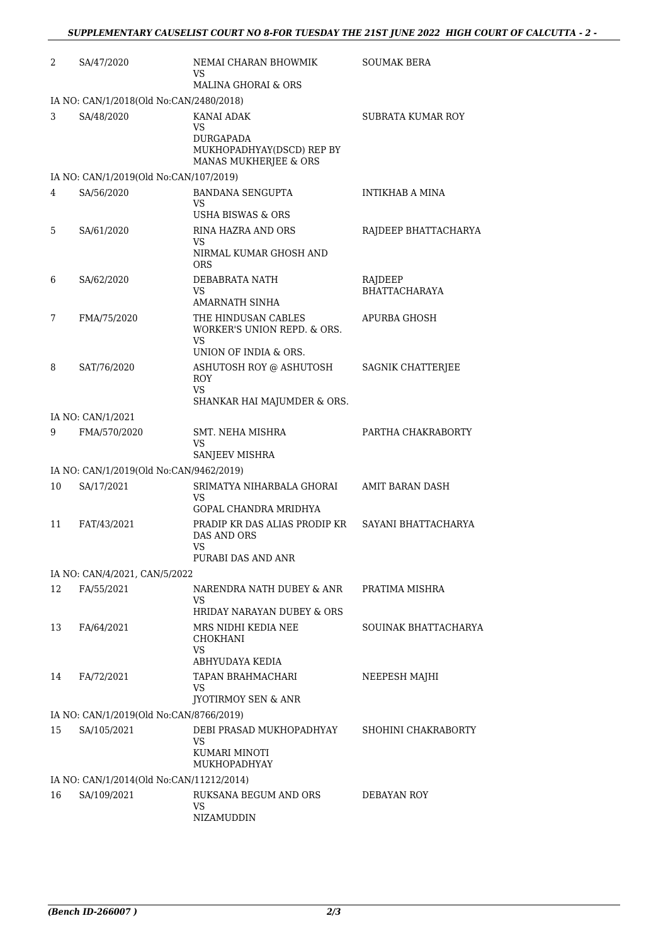| 2  | SA/47/2020                               | NEMAI CHARAN BHOWMIK<br>VS                                             | <b>SOUMAK BERA</b>              |
|----|------------------------------------------|------------------------------------------------------------------------|---------------------------------|
|    |                                          | MALINA GHORAI & ORS                                                    |                                 |
|    | IA NO: CAN/1/2018(Old No:CAN/2480/2018)  |                                                                        |                                 |
| 3  | SA/48/2020                               | <b>KANAI ADAK</b><br>VS.                                               | SUBRATA KUMAR ROY               |
|    |                                          | <b>DURGAPADA</b><br>MUKHOPADHYAY(DSCD) REP BY<br>MANAS MUKHERJEE & ORS |                                 |
|    | IA NO: CAN/1/2019(Old No:CAN/107/2019)   |                                                                        |                                 |
| 4  | SA/56/2020                               | <b>BANDANA SENGUPTA</b><br>VS<br>USHA BISWAS & ORS                     | INTIKHAB A MINA                 |
| 5  | SA/61/2020                               | <b>RINA HAZRA AND ORS</b><br>VS<br>NIRMAL KUMAR GHOSH AND              | RAJDEEP BHATTACHARYA            |
|    |                                          | <b>ORS</b>                                                             |                                 |
| 6  | SA/62/2020                               | DEBABRATA NATH<br>VS                                                   | RAJDEEP<br><b>BHATTACHARAYA</b> |
|    |                                          | AMARNATH SINHA                                                         |                                 |
| 7  | FMA/75/2020                              | THE HINDUSAN CABLES<br>WORKER'S UNION REPD. & ORS.<br>VS.              | APURBA GHOSH                    |
|    |                                          | UNION OF INDIA & ORS.                                                  |                                 |
| 8  | SAT/76/2020                              | ASHUTOSH ROY @ ASHUTOSH<br><b>ROY</b><br>VS                            | SAGNIK CHATTERJEE               |
|    |                                          | SHANKAR HAI MAJUMDER & ORS.                                            |                                 |
|    | IA NO: CAN/1/2021                        |                                                                        |                                 |
| 9  | FMA/570/2020                             | SMT. NEHA MISHRA<br>VS<br>SANJEEV MISHRA                               | PARTHA CHAKRABORTY              |
|    | IA NO: CAN/1/2019(Old No:CAN/9462/2019)  |                                                                        |                                 |
| 10 | SA/17/2021                               | SRIMATYA NIHARBALA GHORAI<br>VS                                        | AMIT BARAN DASH                 |
| 11 | FAT/43/2021                              | GOPAL CHANDRA MRIDHYA<br>PRADIP KR DAS ALIAS PRODIP KR<br>DAS AND ORS  | SAYANI BHATTACHARYA             |
|    |                                          | VS<br>PURABI DAS AND ANR                                               |                                 |
|    | IA NO: CAN/4/2021, CAN/5/2022            |                                                                        |                                 |
| 12 | FA/55/2021                               | NARENDRA NATH DUBEY & ANR<br>VS                                        | PRATIMA MISHRA                  |
|    |                                          | HRIDAY NARAYAN DUBEY & ORS                                             |                                 |
| 13 | FA/64/2021                               | MRS NIDHI KEDIA NEE<br>CHOKHANI<br><b>VS</b>                           | SOUINAK BHATTACHARYA            |
|    |                                          | ABHYUDAYA KEDIA                                                        |                                 |
| 14 | FA/72/2021                               | TAPAN BRAHMACHARI<br>VS<br><b>JYOTIRMOY SEN &amp; ANR</b>              | NEEPESH MAJHI                   |
|    | IA NO: CAN/1/2019(Old No:CAN/8766/2019)  |                                                                        |                                 |
| 15 | SA/105/2021                              | DEBI PRASAD MUKHOPADHYAY                                               | SHOHINI CHAKRABORTY             |
|    |                                          | VS<br>KUMARI MINOTI<br>MUKHOPADHYAY                                    |                                 |
|    | IA NO: CAN/1/2014(Old No:CAN/11212/2014) |                                                                        |                                 |
| 16 | SA/109/2021                              | RUKSANA BEGUM AND ORS<br><b>VS</b><br>NIZAMUDDIN                       | DEBAYAN ROY                     |